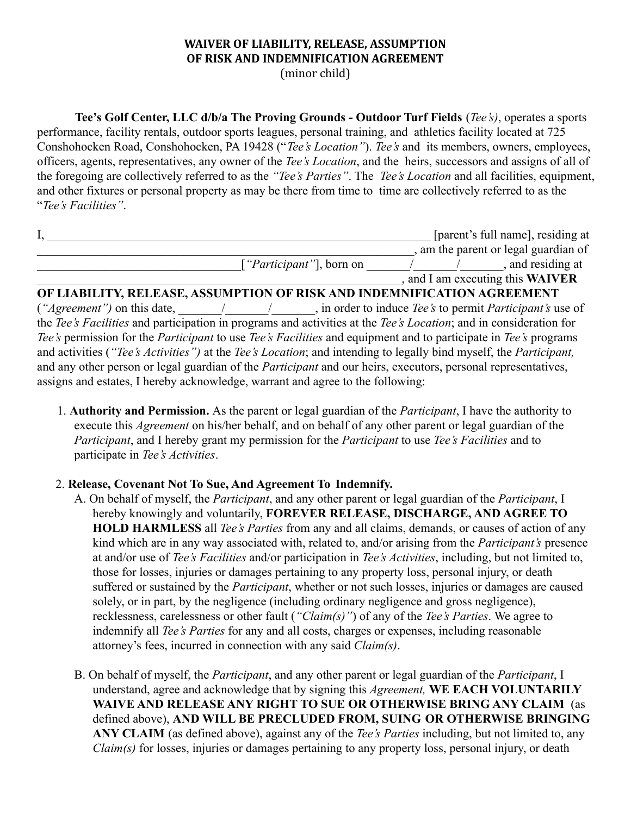# **WAIVER OF LIABILITY, RELEASE, ASSUMPTION OF RISK AND INDEMNIFICATION AGREEMENT** (minor child)

**Tee's Golf Center, LLC d/b/a The Proving Grounds - Outdoor Turf Fields** (*Tee's)*, operates a sports performance, facility rentals, outdoor sports leagues, personal training, and athletics facility located at 725 Conshohocken Road, Conshohocken, PA 19428 ("*Tee's Location"*). *Tee's* and its members, owners, employees, officers, agents, representatives, any owner of the *Tee's Location*, and the heirs, successors and assigns of all of the foregoing are collectively referred to as the *"Tee's Parties"*. The *Tee's Location* and all facilities, equipment, and other fixtures or personal property as may be there from time to time are collectively referred to as the "*Tee's Facilities"*.

|                                                                         |  | [parent's full name], residing at     |
|-------------------------------------------------------------------------|--|---------------------------------------|
|                                                                         |  | am the parent or legal guardian of    |
| [ <i>"Participant"</i> ], born on                                       |  | , and residing at                     |
|                                                                         |  | and I am executing this <b>WAIVER</b> |
| OF LIABILITY, RELEASE, ASSUMPTION OF RISK AND INDEMNIFICATION AGREEMENT |  |                                       |

(*"Agreement")* on this date, \_\_\_\_\_\_\_/\_\_\_\_\_\_\_/\_\_\_\_\_\_\_, in order to induce *Tee's* to permit *Participant's* use of the *Tee's Facilities* and participation in programs and activities at the *Tee's Location*; and in consideration for *Tee's* permission for the *Participant* to use *Tee's Facilities* and equipment and to participate in *Tee's* programs and activities (*"Tee's Activities")* at the *Tee's Location*; and intending to legally bind myself, the *Participant,* and any other person or legal guardian of the *Participant* and our heirs, executors, personal representatives, assigns and estates, I hereby acknowledge, warrant and agree to the following:

1. **Authority and Permission.** As the parent or legal guardian of the *Participant*, I have the authority to execute this *Agreement* on his/her behalf, and on behalf of any other parent or legal guardian of the *Participant*, and I hereby grant my permission for the *Participant* to use *Tee's Facilities* and to participate in *Tee's Activities*.

# 2. **Release, Covenant Not To Sue, And Agreement To Indemnify.**

- A. On behalf of myself, the *Participant*, and any other parent or legal guardian of the *Participant*, I hereby knowingly and voluntarily, **FOREVER RELEASE, DISCHARGE, AND AGREE TO HOLD HARMLESS** all *Tee's Parties* from any and all claims, demands, or causes of action of any kind which are in any way associated with, related to, and/or arising from the *Participant's* presence at and/or use of *Tee's Facilities* and/or participation in *Tee's Activities*, including, but not limited to, those for losses, injuries or damages pertaining to any property loss, personal injury, or death suffered or sustained by the *Participant*, whether or not such losses, injuries or damages are caused solely, or in part, by the negligence (including ordinary negligence and gross negligence), recklessness, carelessness or other fault (*"Claim(s)"*) of any of the *Tee's Parties*. We agree to indemnify all *Tee's Parties* for any and all costs, charges or expenses, including reasonable attorney's fees, incurred in connection with any said *Claim(s)*.
- B. On behalf of myself, the *Participant*, and any other parent or legal guardian of the *Participant*, I understand, agree and acknowledge that by signing this *Agreement,* **WE EACH VOLUNTARILY WAIVE AND RELEASE ANY RIGHT TO SUE OR OTHERWISE BRING ANY CLAIM** (as defined above), **AND WILL BE PRECLUDED FROM, SUING OR OTHERWISE BRINGING ANY CLAIM** (as defined above), against any of the *Tee's Parties* including, but not limited to, any *Claim(s)* for losses, injuries or damages pertaining to any property loss, personal injury, or death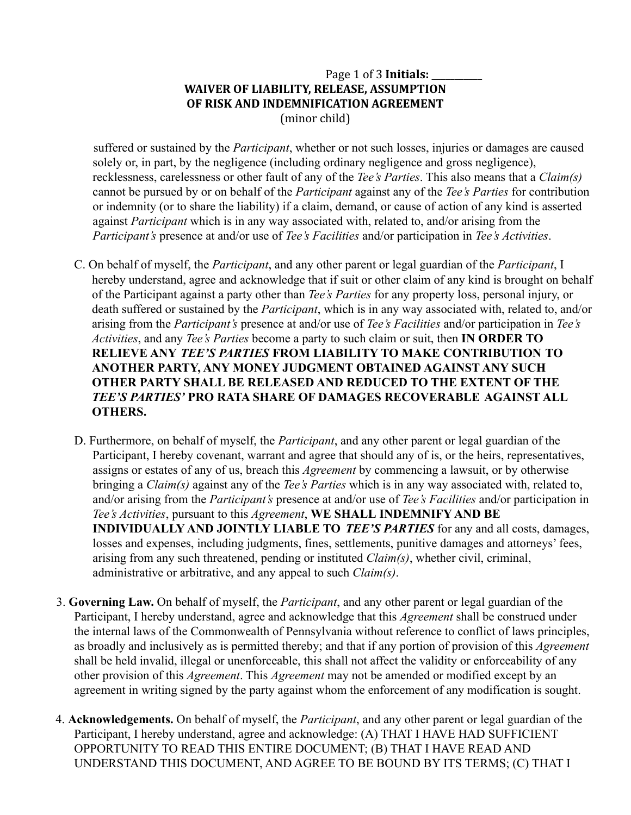# Page 1 of 3 **Initials: \_\_\_\_\_\_\_\_\_\_\_ WAIVER OF LIABILITY, RELEASE, ASSUMPTION OF RISK AND INDEMNIFICATION AGREEMENT** (minor child)

suffered or sustained by the *Participant*, whether or not such losses, injuries or damages are caused solely or, in part, by the negligence (including ordinary negligence and gross negligence), recklessness, carelessness or other fault of any of the *Tee's Parties*. This also means that a *Claim(s)* cannot be pursued by or on behalf of the *Participant* against any of the *Tee's Parties* for contribution or indemnity (or to share the liability) if a claim, demand, or cause of action of any kind is asserted against *Participant* which is in any way associated with, related to, and/or arising from the *Participant's* presence at and/or use of *Tee's Facilities* and/or participation in *Tee's Activities*.

- C. On behalf of myself, the *Participant*, and any other parent or legal guardian of the *Participant*, I hereby understand, agree and acknowledge that if suit or other claim of any kind is brought on behalf of the Participant against a party other than *Tee's Parties* for any property loss, personal injury, or death suffered or sustained by the *Participant*, which is in any way associated with, related to, and/or arising from the *Participant's* presence at and/or use of *Tee's Facilities* and/or participation in *Tee's Activities*, and any *Tee's Parties* become a party to such claim or suit, then **IN ORDER TO RELIEVE ANY** *TEE'S PARTIES* **FROM LIABILITY TO MAKE CONTRIBUTION TO ANOTHER PARTY, ANY MONEY JUDGMENT OBTAINED AGAINST ANY SUCH OTHER PARTY SHALL BE RELEASED AND REDUCED TO THE EXTENT OF THE** *TEE'S PARTIES'* **PRO RATA SHARE OF DAMAGES RECOVERABLE AGAINST ALL OTHERS.**
- D. Furthermore, on behalf of myself, the *Participant*, and any other parent or legal guardian of the Participant, I hereby covenant, warrant and agree that should any of is, or the heirs, representatives, assigns or estates of any of us, breach this *Agreement* by commencing a lawsuit, or by otherwise bringing a *Claim(s)* against any of the *Tee's Parties* which is in any way associated with, related to, and/or arising from the *Participant's* presence at and/or use of *Tee's Facilities* and/or participation in *Tee's Activities*, pursuant to this *Agreement*, **WE SHALL INDEMNIFY AND BE INDIVIDUALLY AND JOINTLY LIABLE TO** *TEE'S PARTIES* for any and all costs, damages, losses and expenses, including judgments, fines, settlements, punitive damages and attorneys' fees, arising from any such threatened, pending or instituted *Claim(s)*, whether civil, criminal, administrative or arbitrative, and any appeal to such *Claim(s)*.
- 3. **Governing Law.** On behalf of myself, the *Participant*, and any other parent or legal guardian of the Participant, I hereby understand, agree and acknowledge that this *Agreement* shall be construed under the internal laws of the Commonwealth of Pennsylvania without reference to conflict of laws principles, as broadly and inclusively as is permitted thereby; and that if any portion of provision of this *Agreement* shall be held invalid, illegal or unenforceable, this shall not affect the validity or enforceability of any other provision of this *Agreement*. This *Agreement* may not be amended or modified except by an agreement in writing signed by the party against whom the enforcement of any modification is sought.
- 4. **Acknowledgements.** On behalf of myself, the *Participant*, and any other parent or legal guardian of the Participant, I hereby understand, agree and acknowledge: (A) THAT I HAVE HAD SUFFICIENT OPPORTUNITY TO READ THIS ENTIRE DOCUMENT; (B) THAT I HAVE READ AND UNDERSTAND THIS DOCUMENT, AND AGREE TO BE BOUND BY ITS TERMS; (C) THAT I